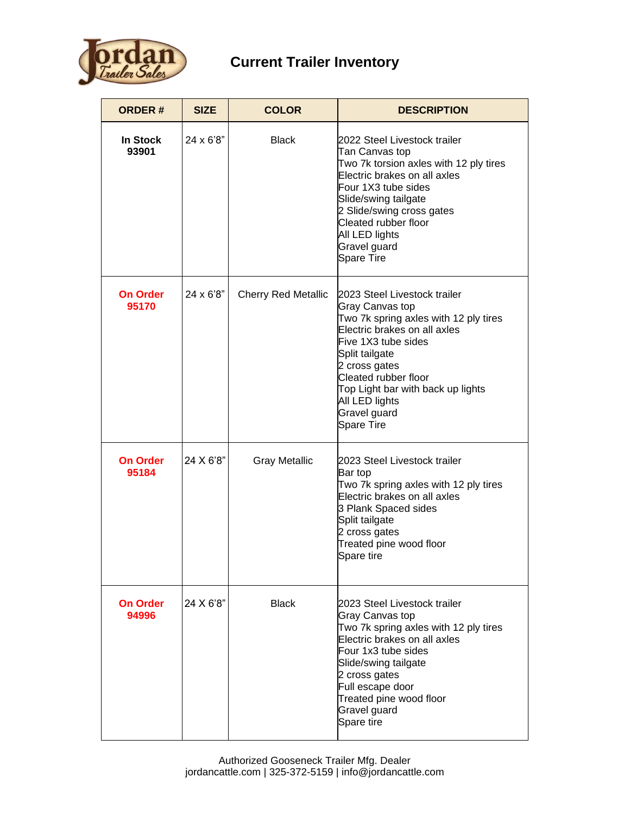

## **Current Trailer Inventory**

| <b>ORDER#</b>            | <b>SIZE</b>      | <b>COLOR</b>               | <b>DESCRIPTION</b>                                                                                                                                                                                                                                                                                     |
|--------------------------|------------------|----------------------------|--------------------------------------------------------------------------------------------------------------------------------------------------------------------------------------------------------------------------------------------------------------------------------------------------------|
| <b>In Stock</b><br>93901 | $24 \times 6'8"$ | <b>Black</b>               | 2022 Steel Livestock trailer<br>Tan Canvas top<br>Two 7k torsion axles with 12 ply tires<br>Electric brakes on all axles<br>Four 1X3 tube sides<br>Slide/swing tailgate<br>2 Slide/swing cross gates<br>Cleated rubber floor<br>All LED lights<br>Gravel guard<br><b>Spare Tire</b>                    |
| <b>On Order</b><br>95170 | 24 x 6'8"        | <b>Cherry Red Metallic</b> | 2023 Steel Livestock trailer<br><b>Gray Canvas top</b><br>Two 7k spring axles with 12 ply tires<br>Electric brakes on all axles<br>Five 1X3 tube sides<br>Split tailgate<br>2 cross gates<br>Cleated rubber floor<br>Top Light bar with back up lights<br>All LED lights<br>Gravel guard<br>Spare Tire |
| <b>On Order</b><br>95184 | 24 X 6'8"        | <b>Gray Metallic</b>       | 2023 Steel Livestock trailer<br>Bar top<br>Two 7k spring axles with 12 ply tires<br>Electric brakes on all axles<br>3 Plank Spaced sides<br>Split tailgate<br>2 cross gates<br>Treated pine wood floor<br>Spare tire                                                                                   |
| On Order<br>94996        | 24 X 6'8"        | <b>Black</b>               | 2023 Steel Livestock trailer<br>Gray Canvas top<br>Two 7k spring axles with 12 ply tires<br>Electric brakes on all axles<br>Four 1x3 tube sides<br>Slide/swing tailgate<br>2 cross gates<br>Full escape door<br>Treated pine wood floor<br>Gravel guard<br>Spare tire                                  |